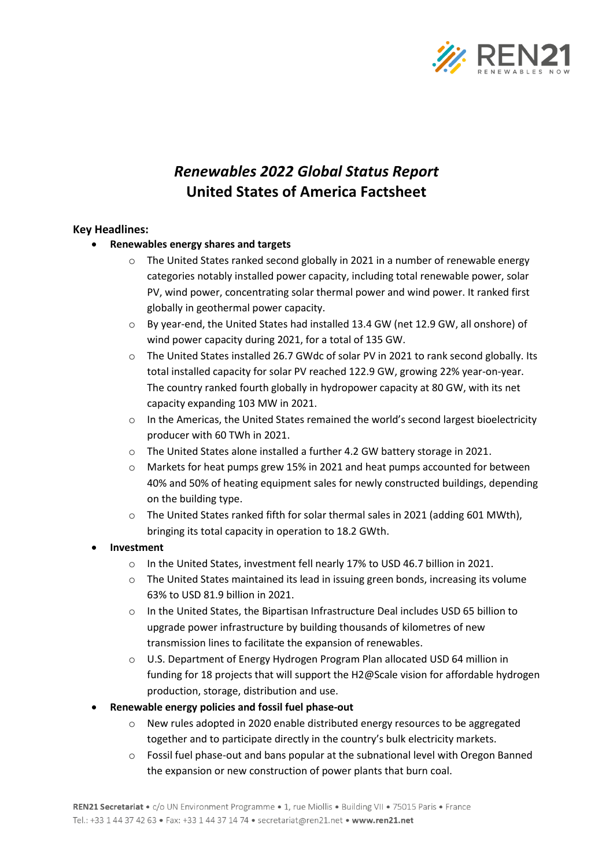

# *Renewables 2022 Global Status Report* **United States of America Factsheet**

## **Key Headlines:**

- **Renewables energy shares and targets**
	- $\circ$  The United States ranked second globally in 2021 in a number of renewable energy categories notably installed power capacity, including total renewable power, solar PV, wind power, concentrating solar thermal power and wind power. It ranked first globally in geothermal power capacity.
	- o By year-end, the United States had installed 13.4 GW (net 12.9 GW, all onshore) of wind power capacity during 2021, for a total of 135 GW.
	- o The United States installed 26.7 GWdc of solar PV in 2021 to rank second globally. Its total installed capacity for solar PV reached 122.9 GW, growing 22% year-on-year. The country ranked fourth globally in hydropower capacity at 80 GW, with its net capacity expanding 103 MW in 2021.
	- o In the Americas, the United States remained the world's second largest bioelectricity producer with 60 TWh in 2021.
	- o The United States alone installed a further 4.2 GW battery storage in 2021.
	- o Markets for heat pumps grew 15% in 2021 and heat pumps accounted for between 40% and 50% of heating equipment sales for newly constructed buildings, depending on the building type.
	- $\circ$  The United States ranked fifth for solar thermal sales in 2021 (adding 601 MWth), bringing its total capacity in operation to 18.2 GWth.
- **Investment**
	- o In the United States, investment fell nearly 17% to USD 46.7 billion in 2021.
	- o The United States maintained its lead in issuing green bonds, increasing its volume 63% to USD 81.9 billion in 2021.
	- o In the United States, the Bipartisan Infrastructure Deal includes USD 65 billion to upgrade power infrastructure by building thousands of kilometres of new transmission lines to facilitate the expansion of renewables.
	- o U.S. Department of Energy Hydrogen Program Plan allocated USD 64 million in funding for 18 projects that will support the H2@Scale vision for affordable hydrogen production, storage, distribution and use.
- **Renewable energy policies and fossil fuel phase-out**
	- o New rules adopted in 2020 enable distributed energy resources to be aggregated together and to participate directly in the country's bulk electricity markets.
	- $\circ$  Fossil fuel phase-out and bans popular at the subnational level with Oregon Banned the expansion or new construction of power plants that burn coal.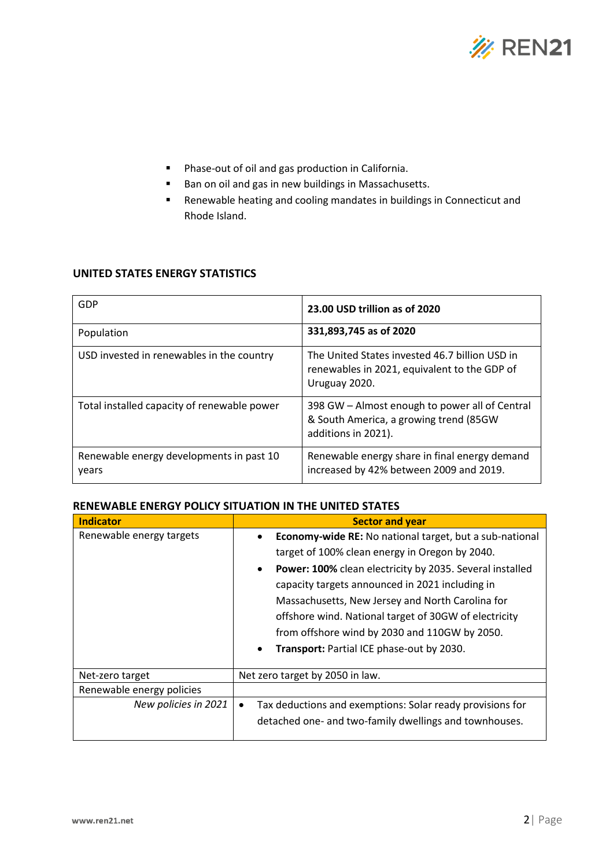

- Phase-out of oil and gas production in California.
- Ban on oil and gas in new buildings in Massachusetts.
- Renewable heating and cooling mandates in buildings in Connecticut and Rhode Island.

## **UNITED STATES ENERGY STATISTICS**

| GDP                                               | 23.00 USD trillion as of 2020                                                                                   |
|---------------------------------------------------|-----------------------------------------------------------------------------------------------------------------|
| Population                                        | 331,893,745 as of 2020                                                                                          |
| USD invested in renewables in the country         | The United States invested 46.7 billion USD in<br>renewables in 2021, equivalent to the GDP of<br>Uruguay 2020. |
| Total installed capacity of renewable power       | 398 GW - Almost enough to power all of Central<br>& South America, a growing trend (85GW<br>additions in 2021). |
| Renewable energy developments in past 10<br>years | Renewable energy share in final energy demand<br>increased by 42% between 2009 and 2019.                        |

## **RENEWABLE ENERGY POLICY SITUATION IN THE UNITED STATES**

| <b>Indicator</b>          | <b>Sector and year</b>                                                 |  |  |
|---------------------------|------------------------------------------------------------------------|--|--|
| Renewable energy targets  | Economy-wide RE: No national target, but a sub-national<br>$\bullet$   |  |  |
|                           | target of 100% clean energy in Oregon by 2040.                         |  |  |
|                           | Power: 100% clean electricity by 2035. Several installed<br>$\bullet$  |  |  |
|                           | capacity targets announced in 2021 including in                        |  |  |
|                           | Massachusetts, New Jersey and North Carolina for                       |  |  |
|                           | offshore wind. National target of 30GW of electricity                  |  |  |
|                           | from offshore wind by 2030 and 110GW by 2050.                          |  |  |
|                           | Transport: Partial ICE phase-out by 2030.<br>$\bullet$                 |  |  |
|                           |                                                                        |  |  |
| Net-zero target           | Net zero target by 2050 in law.                                        |  |  |
| Renewable energy policies |                                                                        |  |  |
| New policies in 2021      | Tax deductions and exemptions: Solar ready provisions for<br>$\bullet$ |  |  |
|                           | detached one- and two-family dwellings and townhouses.                 |  |  |
|                           |                                                                        |  |  |